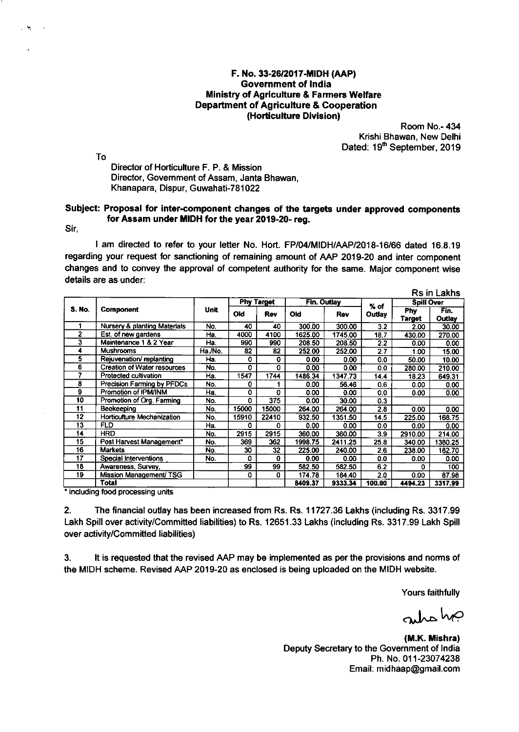## F. No. 33-26/2017-MIDH (AAP) **Government of India Ministry of Agriculture & Farmers Welfare Department of Agriculture & Cooperation** (Horticulture Division)

Room No.- 434 Krishi Bhawan, New Delhi Dated: 19th September, 2019

To

Director of Horticulture F. P. & Mission Director, Government of Assam, Janta Bhawan, Khanapara, Dispur, Guwahati-781022

## Subject: Proposal for inter-component changes of the targets under approved components for Assam under MIDH for the year 2019-20- reg.

Sir,

 $\sim$ 

I am directed to refer to your letter No. Hort. FP/04/MIDH/AAP/2018-16/66 dated 16.8.19 regarding your request for sanctioning of remaining amount of AAP 2019-20 and inter component changes and to convey the approval of competent authority for the same. Major component wise details are as under:

|               |                                    |         |       |                   |             |         |        |                      | Rs in Lakhs    |
|---------------|------------------------------------|---------|-------|-------------------|-------------|---------|--------|----------------------|----------------|
|               |                                    |         |       | <b>Phy Target</b> | Fin. Outlay |         | $%$ of | <b>Spill Over</b>    |                |
| <b>S. No.</b> | Component                          | Unit    | Old   | Rev               | <b>Old</b>  | Rev     | Outlay | Phy<br><b>Target</b> | Fin.<br>Outlay |
|               | Nursery & planting Materials       | No.     | 40    | 40                | 300.00      | 300.00  | 3.2    | 2.00                 | 30.00          |
| 2             | Est. of new gardens                | Ha.     | 4000  | 4100              | 1625.00     | 1745.00 | 18.7   | 430.00               | 270.00         |
| 3             | Maintenance 1 & 2 Year             | Ha      | 990   | 990               | 208.50      | 208.50  | 22     | 0.00                 | 0.00           |
| 4             | <b>Mushrooms</b>                   | Ha /No. | 82    | 82                | 252.00      | 252.00  | 2.7    | 1.00                 | 15.00          |
| 5             | Rejuvenation/replanting            | Ha.     | 0     | $\Omega$          | 0.00        | 0.00    | 0.0    | 50.00                | 10.00          |
| 6             | <b>Creation of Water resources</b> | No.     | 0     | $\Omega$          | 0.00        | 0.00    | 0.0    | 280.00               | 210.00         |
| 7             | Protected cultivation              | Ha.     | 1547  | 1744              | 1486.34     | 1347.73 | 14.4   | 18.23                | 649.31         |
| 8             | Precision Farming by PFDCs         | No.     | ٥     |                   | 0.00        | 56.46   | 0.6    | 0.00                 | 0.00           |
| 9             | Promotion of IPM/INM               | Ha.     | 0     | 0                 | 0.00        | 0.00    | 0.0    | 0.00                 | 0.00           |
| 10            | Promotion of Org. Farming          | No.     | O.    | 375               | 0.00        | 30.00   | 0.3    |                      |                |
| 11            | Beekeeping                         | No.     | 15000 | 15000             | 264.00      | 264.00  | 2.8    | 0.00                 | 0.00           |
| 12            | Horticulture Mechanization         | No.     | 15910 | 22410             | 932.50      | 1351.50 | 14.5   | 225.00               | 168.75         |
| 13            | <b>FLD</b>                         | Ha.     | 0     | 0                 | 0.00        | 0.00    | 0.0    | 0.00                 | 0.00           |
| 14            | <b>HRD</b>                         | No.     | 2915  | 2915              | 360.00      | 360.00  | 3.9    | 2910.00              | 214.00         |
| 15            | Post Harvest Management*           | No.     | 369   | 362               | 1998.75     | 2411.25 | 25.8   | 340.00               | 1380.25        |
| 16            | <b>Markets</b>                     | No.     | 30    | 32                | 225.00      | 240.00  | 2.6    | 238.00               | 182.70         |
| 17            | Special Interventions              | No.     | 0     | $\bf{0}$          | 0.00        | 0.00    | 0.0    | 0.00                 | 0.00           |
| 18            | Awareness, Survey,                 |         | 99    | 99                | 582.50      | 582.50  | 6.2    | 0                    | 100            |
| 19            | Mission Management/ TSG            |         | 0     | o                 | 174.78      | 184.40  | 2.0    | 0.00                 | 87.98          |
|               | Total                              |         |       |                   | 8409.37     | 9333.34 | 100.00 | 4494.23              | 3317.99        |

\* including food processing units

 $2<sub>1</sub>$ The financial outlay has been increased from Rs. Rs. 11727.36 Lakhs (including Rs. 3317.99 Lakh Spill over activity/Committed liabilities) to Rs. 12651.33 Lakhs (including Rs. 3317.99 Lakh Spill over activity/Committed liabilities)

It is requested that the revised AAP may be implemented as per the provisions and norms of  $3.$ the MIDH scheme. Revised AAP 2019-20 as enclosed is being uploaded on the MIDH website.

Yours faithfully

antone

(M.K. Mishra) Deputy Secretary to the Government of India Ph. No. 011-23074238 Email: midhaap@gmail.com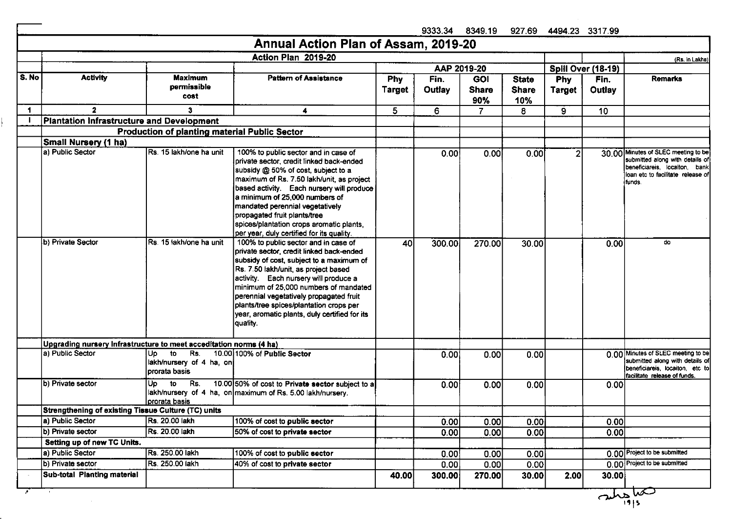|       |                                                                                        |                                                      |                                                                                                                                                                                                                                                                                                                                                                                                                 |                      | 9333.34        | 8349.19                    |                              |                             | 927.69 4494.23 3317.99 |                                                                                                                                                         |
|-------|----------------------------------------------------------------------------------------|------------------------------------------------------|-----------------------------------------------------------------------------------------------------------------------------------------------------------------------------------------------------------------------------------------------------------------------------------------------------------------------------------------------------------------------------------------------------------------|----------------------|----------------|----------------------------|------------------------------|-----------------------------|------------------------|---------------------------------------------------------------------------------------------------------------------------------------------------------|
|       |                                                                                        |                                                      | Annual Action Plan of Assam, 2019-20                                                                                                                                                                                                                                                                                                                                                                            |                      |                |                            |                              |                             |                        |                                                                                                                                                         |
|       |                                                                                        |                                                      | Action Plan 2019-20                                                                                                                                                                                                                                                                                                                                                                                             |                      |                |                            |                              |                             |                        | (Rs. in Lakhs)                                                                                                                                          |
|       |                                                                                        |                                                      |                                                                                                                                                                                                                                                                                                                                                                                                                 |                      | AAP 2019-20    |                            |                              |                             | Spill Over (18-19)     |                                                                                                                                                         |
| S. No | <b>Activity</b>                                                                        | <b>Maximum</b><br>permissible<br>cost                | <b>Pattern of Assistance</b>                                                                                                                                                                                                                                                                                                                                                                                    | <b>Phy</b><br>Target | Fin.<br>Outlay | <b>GOI</b><br><b>Share</b> | <b>State</b><br><b>Share</b> | <b>Phy</b><br><b>Target</b> | Fin.<br>Outlay         | <b>Remarks</b>                                                                                                                                          |
|       |                                                                                        |                                                      |                                                                                                                                                                                                                                                                                                                                                                                                                 |                      |                | 90%                        | 10%                          |                             |                        |                                                                                                                                                         |
| 1     | $\overline{\mathbf{2}}$                                                                | 3                                                    | 4                                                                                                                                                                                                                                                                                                                                                                                                               | 5.                   | 6              | 7.                         | 8                            | 9                           | 10 <sub>1</sub>        |                                                                                                                                                         |
|       | Plantation Infrastructure and Development                                              |                                                      |                                                                                                                                                                                                                                                                                                                                                                                                                 |                      |                |                            |                              |                             |                        |                                                                                                                                                         |
|       |                                                                                        | <b>Production of planting material Public Sector</b> |                                                                                                                                                                                                                                                                                                                                                                                                                 |                      |                |                            |                              |                             |                        |                                                                                                                                                         |
|       | <b>Small Nursery (1 ha)</b>                                                            |                                                      |                                                                                                                                                                                                                                                                                                                                                                                                                 |                      |                |                            |                              |                             |                        |                                                                                                                                                         |
|       | a) Public Sector                                                                       | Rs. 15 lakh/one ha unit                              | 100% to public sector and in case of<br>private sector, credit linked back-ended<br>subsidy @ 50% of cost, subject to a<br>maximum of Rs. 7.50 lakh/unit, as project<br>based activity. Each nursery will produce<br>a minimum of 25,000 numbers of<br>mandated perennial vegetatively<br>propagated fruit plants/tree<br>spices/plantation crops aromatic plants,<br>per year, duly certified for its quality. |                      | 0.00           | 0.00                       | 0.00                         | $\overline{2}$              |                        | 30.00 Minutes of SLEC meeting to be<br>submitted along with details of<br>beneficiareis, locaiton, bank<br>loan etc to facilitate release of<br>lfunds. |
|       | b) Private Sector                                                                      | Rs. 15 lakh/one ha unit                              | 100% to public sector and in case of<br>private sector, credit linked back-ended<br>subsidy of cost, subject to a maximum of<br>Rs. 7.50 lakh/unit, as project based<br>activity. Each nursery will produce a<br>minimum of 25,000 numbers of mandated<br>perennial vegetatively propagated fruit<br>plants/tree spices/plantation crops per<br>year, aromatic plants, duly certified for its<br>quality.       | 40                   | 300.00         | 270.00                     | 30.00                        |                             | 0.00                   | do                                                                                                                                                      |
|       | Upgrading nursery Infrastructure to meet acceditation norms (4 ha)<br>a) Public Sector | to<br>Rs.<br>Up<br>lakh/nursery of 4 ha, on          | 10.00 100% of Public Sector                                                                                                                                                                                                                                                                                                                                                                                     |                      | 0.001          | 0.00                       | 0.00                         |                             |                        | 0.00 Minutes of SLEC meeting to be<br>submitted along with details of                                                                                   |
|       |                                                                                        | prorata basis                                        |                                                                                                                                                                                                                                                                                                                                                                                                                 |                      |                |                            |                              |                             |                        | beneficiareis locaiton, etc to<br>facilitate release of funds.                                                                                          |
|       | b) Private sector                                                                      | Up<br>to<br>Rs.<br>prorata basis                     | 10.00 50% of cost to Private sector subject to a<br>lakh/nursery of 4 ha, on maximum of Rs. 5.00 lakh/nursery.                                                                                                                                                                                                                                                                                                  |                      | 0.00           | 0.00                       | 0.00                         |                             | 0.00                   |                                                                                                                                                         |
|       | Strengthening of existing Tissue Culture (TC) units                                    |                                                      |                                                                                                                                                                                                                                                                                                                                                                                                                 |                      |                |                            |                              |                             |                        |                                                                                                                                                         |
|       | a) Public Sector                                                                       | Rs. 20.00 lakh                                       | 100% of cost to public sector                                                                                                                                                                                                                                                                                                                                                                                   |                      | 0.00           | 0.00                       | 0.00                         |                             | 0.00                   |                                                                                                                                                         |
|       | b) Private sector                                                                      | <b>Rs. 20.00 lakh</b>                                | 50% of cost to private sector                                                                                                                                                                                                                                                                                                                                                                                   |                      | 0.00           | 0.00                       | 0.00                         |                             | 0.00                   |                                                                                                                                                         |
|       | Setting up of new TC Units.                                                            |                                                      |                                                                                                                                                                                                                                                                                                                                                                                                                 |                      |                |                            |                              |                             |                        |                                                                                                                                                         |
|       | a) Public Sector                                                                       | Rs. 250.00 lakh                                      | 100% of cost to public sector                                                                                                                                                                                                                                                                                                                                                                                   |                      | 0.00           | 0.00                       | 0.00                         |                             |                        | 0.00 Project to be submitted                                                                                                                            |
|       | b) Private sector                                                                      | Rs. 250.00 lakh                                      | 40% of cost to private sector                                                                                                                                                                                                                                                                                                                                                                                   |                      | 0.00           | 0.00                       | 0.00                         |                             |                        | 0.00 Project to be submitted                                                                                                                            |
|       | Sub-total Planting material                                                            |                                                      |                                                                                                                                                                                                                                                                                                                                                                                                                 | 40.00                | 300.00         | 270.00                     | 30.00                        | 2.00                        | 30.00                  |                                                                                                                                                         |
|       |                                                                                        |                                                      |                                                                                                                                                                                                                                                                                                                                                                                                                 |                      |                |                            |                              |                             | $\sqrt{\frac{1}{19}}$  | حما                                                                                                                                                     |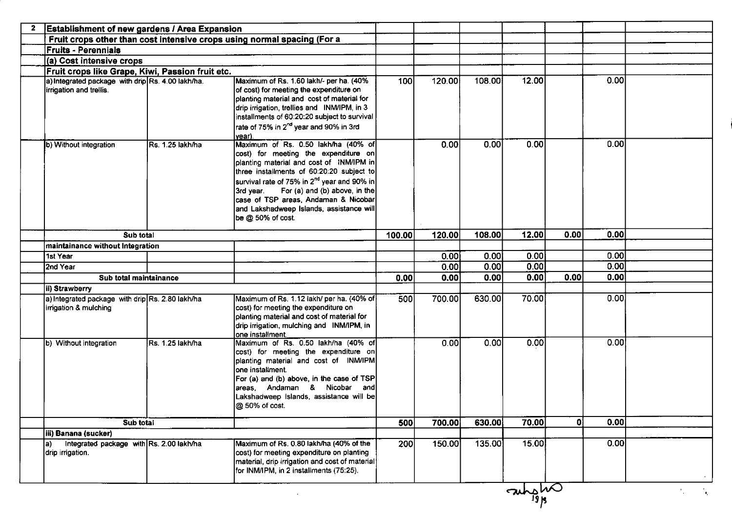| <b>Establishment of new gardens / Area Expansion</b>                         |                  |                                                                                                                                                                                                                                                                                                                                                                                                              |        |        |        |              |      |      |  |
|------------------------------------------------------------------------------|------------------|--------------------------------------------------------------------------------------------------------------------------------------------------------------------------------------------------------------------------------------------------------------------------------------------------------------------------------------------------------------------------------------------------------------|--------|--------|--------|--------------|------|------|--|
|                                                                              |                  | Fruit crops other than cost intensive crops using normal spacing (For a                                                                                                                                                                                                                                                                                                                                      |        |        |        |              |      |      |  |
| <b>Fruits - Perennials</b>                                                   |                  |                                                                                                                                                                                                                                                                                                                                                                                                              |        |        |        |              |      |      |  |
| (a) Cost intensive crops                                                     |                  |                                                                                                                                                                                                                                                                                                                                                                                                              |        |        |        |              |      |      |  |
| Fruit crops like Grape, Kiwi, Passion fruit etc.                             |                  |                                                                                                                                                                                                                                                                                                                                                                                                              |        |        |        |              |      |      |  |
| a) Integrated package with drip Rs. 4.00 lakh/ha.<br>irrigation and trellis. |                  | Maximum of Rs. 1.60 lakh/- per ha. (40%<br>of cost) for meeting the expenditure on<br>planting material and cost of material for<br>drip irrigation, trellies and INM/IPM, in 3<br>installments of 60:20:20 subject to survival<br>rate of 75% in 2 <sup>nd</sup> year and 90% in 3rd                                                                                                                        | 100    | 120.00 | 108.00 | 12.00        |      | 0.00 |  |
| b) Without integration                                                       | Rs. 1.25 lakh/ha | year).<br>Maximum of Rs. 0.50 lakh/ha (40% of<br>cost) for meeting the expenditure on<br>planting material and cost of INM/IPM in<br>three installments of 60:20:20 subject to<br>survival rate of 75% in 2 <sup>nd</sup> year and 90% in<br>For (a) and (b) above, in the<br>l3rd vear.<br>case of TSP areas, Andaman & Nicobar<br>and Lakshadweep Islands, assistance will<br>$\log$ $\omega$ 50% of cost. |        | 0.00   | 0.00   | 0.00         |      | 0.00 |  |
| Sub total                                                                    |                  |                                                                                                                                                                                                                                                                                                                                                                                                              | 100.00 | 120.00 | 108.00 | 12.00        | 0.00 | 0.00 |  |
| maintainance without Integration                                             |                  |                                                                                                                                                                                                                                                                                                                                                                                                              |        |        |        |              |      |      |  |
| 1st Year                                                                     |                  |                                                                                                                                                                                                                                                                                                                                                                                                              |        | 0.00   | 0.00   | 0.00         |      | 0.00 |  |
| 2nd Year                                                                     |                  |                                                                                                                                                                                                                                                                                                                                                                                                              |        | 0.00   | 0.00   | 0.00         |      | 0.00 |  |
| Sub total maintainance                                                       |                  |                                                                                                                                                                                                                                                                                                                                                                                                              | 0.00   | 0.00   | 0.00   | 0.00         | 0.00 | 0.00 |  |
| ii) Strawberry                                                               |                  |                                                                                                                                                                                                                                                                                                                                                                                                              |        |        |        |              |      |      |  |
| a) Integrated package with drip Rs. 2.80 lakh/ha<br>irrigation & mulching    |                  | Maximum of Rs. 1.12 lakh/ per ha. (40% of<br>cost) for meeting the expenditure on<br>planting material and cost of material for<br>drip irrigation, mulching and INM/IPM, in<br>one installment.                                                                                                                                                                                                             | 500    | 700.00 | 630.00 | 70.00        |      | 0.00 |  |
| b) Without integration                                                       | Rs. 1.25 lakh/ha | Maximum of Rs. 0.50 lakh/ha (40% of<br>cost) for meeting the expenditure on<br>planting material and cost of INM/IPM<br>one installment.<br>For (a) and (b) above, in the case of TSP<br>areas, Andaman & Nicobar<br>andl<br>Lakshadweep Islands, assistance will be<br>$@$ 50% of cost.                                                                                                                     |        | 0.00   | 0.00   | 0.00         |      | 0.00 |  |
| Sub total                                                                    |                  |                                                                                                                                                                                                                                                                                                                                                                                                              | 500    | 700.00 | 630.00 | 70.00        | 0l   | 0.00 |  |
| iii) Banana (sucker)                                                         |                  |                                                                                                                                                                                                                                                                                                                                                                                                              |        |        |        |              |      |      |  |
| Integrated package with Rs. 2.00 lakh/ha<br>la).<br>drip irrigation.         |                  | Maximum of Rs. 0.80 lakh/ha (40% of the<br>cost) for meeting expenditure on planting<br>material, drip irrigation and cost of material<br>for INM/IPM, in 2 installments (75:25).                                                                                                                                                                                                                            | 200    | 150.00 | 135.00 | 15.00        |      | 0.00 |  |
|                                                                              |                  |                                                                                                                                                                                                                                                                                                                                                                                                              |        |        |        | <b>ONONO</b> |      |      |  |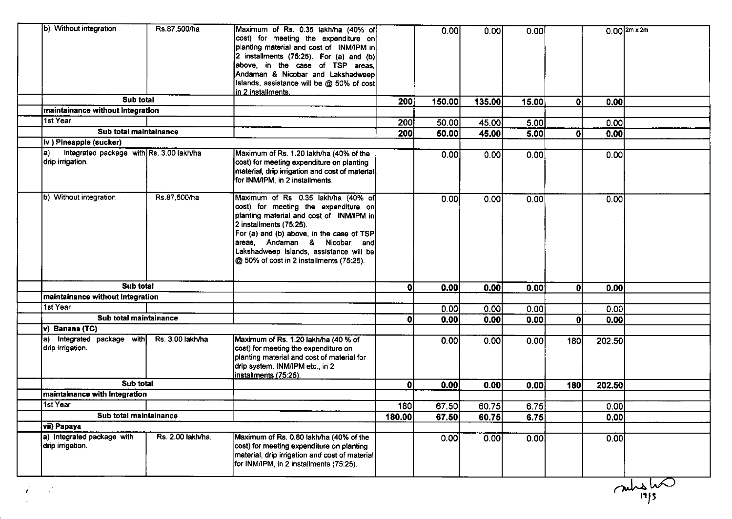| b) Without integration                                       | Rs.87,500/ha      | Maximum of Rs. 0.35 lakh/ha (40% of<br>cost) for meeting the expenditure on<br>planting material and cost of INM/IPM in<br>2 installments $(75.25)$ . For $(a)$ and $(b)$<br>above, in the case of TSP areas,<br>Andaman & Nicobar and Lakshadweep<br>Islands, assistance will be @ 50% of cost<br><u>lin 2 installments.</u> |              | 0.00   | 0.00   | 0.00  |              | $0.00$ $2m \times 2m$ |  |
|--------------------------------------------------------------|-------------------|-------------------------------------------------------------------------------------------------------------------------------------------------------------------------------------------------------------------------------------------------------------------------------------------------------------------------------|--------------|--------|--------|-------|--------------|-----------------------|--|
| Sub total                                                    |                   |                                                                                                                                                                                                                                                                                                                               | 200          | 150.00 | 135.00 | 15.00 | Οl           | 0.00                  |  |
| maintainance without Integration                             |                   |                                                                                                                                                                                                                                                                                                                               |              |        |        |       |              |                       |  |
| 1st Year                                                     |                   |                                                                                                                                                                                                                                                                                                                               | 200          | 50.00  | 45.00  | 5.00  |              | 0.00                  |  |
| Sub total maintainance                                       |                   |                                                                                                                                                                                                                                                                                                                               | 200          | 50.00  | 45.00  | 5.00  | 0            | 0.00                  |  |
| iv ) Pineapple (sucker)                                      |                   |                                                                                                                                                                                                                                                                                                                               |              |        |        |       |              |                       |  |
| Integrated package with Rs. 3.00 lakh/ha<br>drip irrigation. |                   | Maximum of Rs. 1.20 lakh/ha (40% of the<br>cost) for meeting expenditure on planting<br>material, drip irrigation and cost of material<br>for INM/IPM, in 2 installments.                                                                                                                                                     |              | 0.00   | 0.00   | 0.00  |              | 0.00                  |  |
| b) Without integration                                       | Rs 87,500/ha      | Maximum of Rs. 0.35 lakh/ha (40% of<br>cost) for meeting the expenditure on<br>planting material and cost of INM/IPM in<br>2 installments (75:25).<br>For (a) and (b) above, in the case of TSP<br>areas, Andaman & Nicobar and<br>Lakshadweep Islands, assistance will be<br>@ 50% of cost in 2 installments (75:25).        |              | 0.00   | 0.00   | 0.00  |              | 0.00                  |  |
| Sub total                                                    |                   |                                                                                                                                                                                                                                                                                                                               | $\mathbf{0}$ | 0.00   | 0.00   | 0.00  | $\mathbf{0}$ | 0.00                  |  |
| maintainance without Integration<br>1st Year                 |                   |                                                                                                                                                                                                                                                                                                                               |              |        |        |       |              |                       |  |
|                                                              |                   |                                                                                                                                                                                                                                                                                                                               |              | 0.00   | 0.00   | 0.00  |              | 0.00                  |  |
| Sub total maintainance                                       |                   |                                                                                                                                                                                                                                                                                                                               | 0            | 0.00   | 0.00   | 0.00  | $\mathbf{0}$ | 0.00                  |  |
| v) Banana (TC)<br>a) Integrated package with                 | Rs. 3.00 lakh/ha  |                                                                                                                                                                                                                                                                                                                               |              |        |        |       |              |                       |  |
| drip irrigation.                                             |                   | Maximum of Rs. 1.20 lakh/ha (40 % of<br>cost) for meeting the expenditure on<br>planting material and cost of material for<br>drip system, INM/IPM etc., in 2<br>installments (75:25).                                                                                                                                        |              | 0.00   | 0.00   | 0.00  | 180          | 202.50                |  |
| Sub total                                                    |                   |                                                                                                                                                                                                                                                                                                                               | 0            | 0.00   | 0.00   | 0.00  | 180          | 202.50                |  |
| maintainance with Integration                                |                   |                                                                                                                                                                                                                                                                                                                               |              |        |        |       |              |                       |  |
| 1st Year                                                     |                   |                                                                                                                                                                                                                                                                                                                               | <b>180</b>   | 67.50  | 60.75  | 6.75  |              | 0.00                  |  |
| Sub total maintainance                                       |                   |                                                                                                                                                                                                                                                                                                                               | 180.00       | 67.50  | 60.75  | 6.75  |              | 0.00                  |  |
| vii) Papaya                                                  |                   |                                                                                                                                                                                                                                                                                                                               |              |        |        |       |              |                       |  |
| a) Integrated package with<br>drip irrigation.               | Rs. 2.00 lakh/ha. | Maximum of Rs. 0.80 lakh/ha (40% of the<br>cost) for meeting expenditure on planting<br>material, drip irrigation and cost of material<br>for INM/IPM, in 2 installments (75:25).                                                                                                                                             |              | 0.00   | 0.00   | 0.00  |              | 0.00                  |  |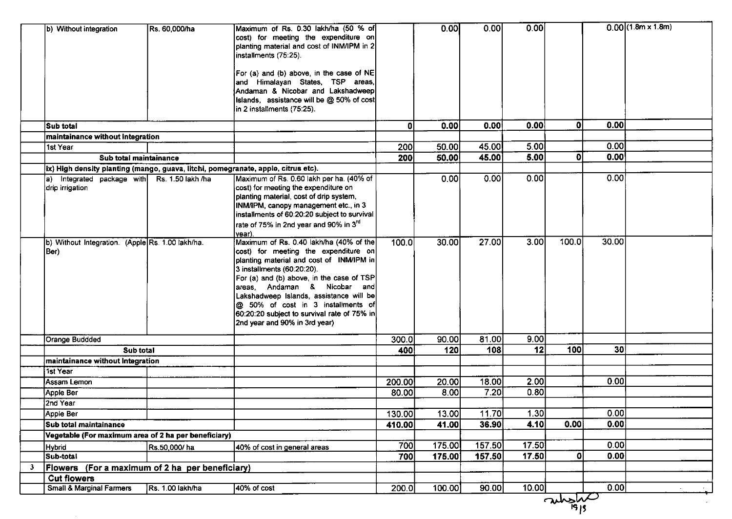|                        | b) Without integration                               | Rs. 60,000/ha     | Maximum of Rs. 0.30 lakh/ha (50 % of<br>cost) for meeting the expenditure on<br>planting material and cost of INM/IPM in 2<br>installments (75:25).                                                                                                                                                                                                                                                        |        | 0.00   | 0.00   | 0.00  |              |                 | $0.00$ (1.8m x 1.8m) |
|------------------------|------------------------------------------------------|-------------------|------------------------------------------------------------------------------------------------------------------------------------------------------------------------------------------------------------------------------------------------------------------------------------------------------------------------------------------------------------------------------------------------------------|--------|--------|--------|-------|--------------|-----------------|----------------------|
|                        |                                                      |                   | For (a) and (b) above, in the case of NE<br>and Himalayan States, TSP areas,<br>Andaman & Nicobar and Lakshadweep                                                                                                                                                                                                                                                                                          |        |        |        |       |              |                 |                      |
|                        |                                                      |                   | Islands, assistance will be @ 50% of cost<br>in 2 installments (75:25).                                                                                                                                                                                                                                                                                                                                    |        |        |        |       |              |                 |                      |
| Sub total              |                                                      |                   |                                                                                                                                                                                                                                                                                                                                                                                                            | 0      | 0.00   | 0.00   | 0.00  | $\mathbf{0}$ | 0.00            |                      |
|                        | maintainance without Integration                     |                   |                                                                                                                                                                                                                                                                                                                                                                                                            |        |        |        |       |              |                 |                      |
| 1st Year               |                                                      |                   |                                                                                                                                                                                                                                                                                                                                                                                                            | 200    | 50.00  | 45.00  | 5.00  |              | 0.00            |                      |
|                        | Sub total maintainance                               |                   |                                                                                                                                                                                                                                                                                                                                                                                                            | 200    | 50.00  | 45.00  | 5.00  | 0            | 0.00            |                      |
|                        |                                                      |                   | ix) High density planting (mango, guava, litchi, pomegranate, apple, citrus etc).                                                                                                                                                                                                                                                                                                                          |        |        |        |       |              |                 |                      |
| ia)<br>drip irrigation | Integrated package with                              | Rs. 1.50 lakh /ha | Maximum of Rs. 0.60 lakh per ha. (40% of<br>cost) for meeting the expenditure on<br>planting material, cost of drip system,<br>INM/IPM, canopy management etc., in 3<br>installments of 60:20:20 subject to survival<br>rate of 75% in 2nd year and 90% in 3 <sup>rd</sup><br>year).                                                                                                                       |        | 0.00   | 0.00   | 0.00  |              | 0.00            |                      |
| (Ber                   | b) Without Integration. (Apple Rs. 1.00 lakh/ha.     |                   | Maximum of Rs. 0.40 lakh/ha (40% of the<br>cost) for meeting the expenditure on<br>planting material and cost of INM/IPM in<br>3 installments (60:20:20).<br>For (a) and (b) above, in the case of TSP<br>areas, Andaman & Nicobar and<br>Lakshadweep Islands, assistance will be<br>@ 50% of cost in 3 installments of<br>$ 60.20:20$ subject to survival rate of 75% in<br>2nd year and 90% in 3rd year) | 100.0  | 30.00  | 27.00  | 3.00  | 100.0        | 30.00           |                      |
|                        | Orange Buddded                                       |                   |                                                                                                                                                                                                                                                                                                                                                                                                            | 300.0  | 90.00  | 81.00  | 9.00  |              |                 |                      |
|                        | Sub total                                            |                   |                                                                                                                                                                                                                                                                                                                                                                                                            | 400    | 120    | 108    | 12    | 100          | 30 <sup>1</sup> |                      |
|                        | maintainance without Integration                     |                   |                                                                                                                                                                                                                                                                                                                                                                                                            |        |        |        |       |              |                 |                      |
| 1st Year               |                                                      |                   |                                                                                                                                                                                                                                                                                                                                                                                                            |        |        |        |       |              |                 |                      |
|                        | Assam Lemon                                          |                   |                                                                                                                                                                                                                                                                                                                                                                                                            | 200.00 | 20.00  | 18.00  | 2.00  |              | 0.00            |                      |
| Apple Ber              |                                                      |                   |                                                                                                                                                                                                                                                                                                                                                                                                            | 80.00  | 8.00   | 7.20   | 0.80  |              |                 |                      |
| 2nd Year               |                                                      |                   |                                                                                                                                                                                                                                                                                                                                                                                                            |        |        |        |       |              |                 |                      |
| Apple Ber              |                                                      |                   |                                                                                                                                                                                                                                                                                                                                                                                                            | 130.00 | 13.00  | 11.70  | 1.30  |              | 0.001           |                      |
|                        | Sub total maintainance                               |                   |                                                                                                                                                                                                                                                                                                                                                                                                            | 410.00 | 41.00  | 36.90  | 4.10  | 0.00         | 0.00            |                      |
|                        | Vegetable (For maximum area of 2 ha per beneficiary) |                   |                                                                                                                                                                                                                                                                                                                                                                                                            |        |        |        |       |              |                 |                      |
| <b>Hybrid</b>          |                                                      | Rs.50,000/ha      | 40% of cost in general areas                                                                                                                                                                                                                                                                                                                                                                               | 700    | 175.00 | 157.50 | 17.50 |              | 0.00            |                      |
| Sub-total              |                                                      |                   |                                                                                                                                                                                                                                                                                                                                                                                                            | 700    | 175.00 | 157.50 | 17.50 | 0            | 0.00            |                      |
| $\mathbf{3}$           | Flowers (For a maximum of 2 ha per beneficiary)      |                   |                                                                                                                                                                                                                                                                                                                                                                                                            |        |        |        |       |              |                 |                      |
|                        | <b>Cut flowers</b>                                   |                   |                                                                                                                                                                                                                                                                                                                                                                                                            |        |        |        |       |              |                 |                      |
|                        | <b>Small &amp; Marginal Farmers</b>                  | Rs. 1.00 lakh/ha  | 40% of cost                                                                                                                                                                                                                                                                                                                                                                                                | 200.0  | 100.00 | 90.00  | 10.00 |              | 0.00            |                      |
|                        |                                                      |                   |                                                                                                                                                                                                                                                                                                                                                                                                            |        |        |        |       | aulists      |                 |                      |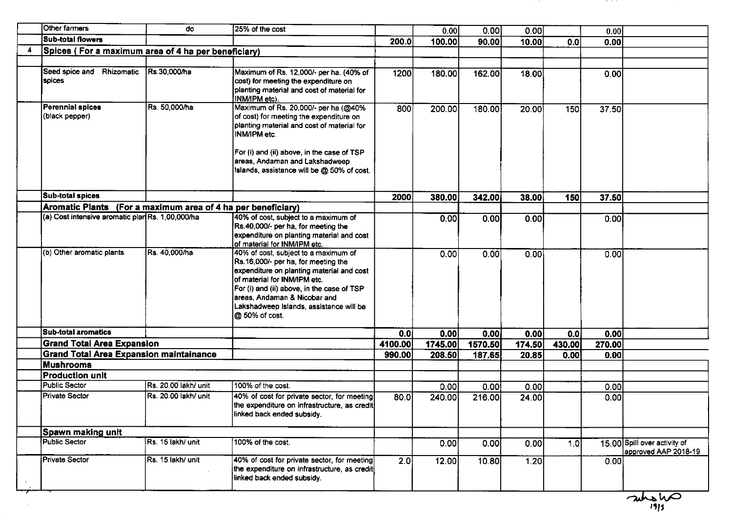| Other farmers                                                | do                           | 25% of the cost                                                                                                                                                                                                                                                                                    |         | 0.00    | 0.00    | 0.00   |        | 0.00   |                                                      |
|--------------------------------------------------------------|------------------------------|----------------------------------------------------------------------------------------------------------------------------------------------------------------------------------------------------------------------------------------------------------------------------------------------------|---------|---------|---------|--------|--------|--------|------------------------------------------------------|
| <b>Sub-total flowers</b>                                     |                              |                                                                                                                                                                                                                                                                                                    | 200.0   | 100.00  | 90.00   | 10.00  | 0.0    | 0.00   |                                                      |
| Spices (For a maximum area of 4 ha per beneficiary)          |                              |                                                                                                                                                                                                                                                                                                    |         |         |         |        |        |        |                                                      |
|                                                              |                              |                                                                                                                                                                                                                                                                                                    |         |         |         |        |        |        |                                                      |
| Rhizomatic<br>Seed spice and<br>spices                       | Rs.30,000/ha                 | Maximum of Rs. 12,000/- per ha. (40% of<br>cost) for meeting the expenditure on<br>planting material and cost of material for<br>INM/IPM etc).                                                                                                                                                     | 1200    | 180.00  | 162.00  | 18.00  |        | 0.00   |                                                      |
| <b>Perennial spices</b><br>(black pepper)                    | Rs. 50,000/ha                | Maximum of Rs. 20,000/- per ha (@40%<br>of cost) for meeting the expenditure on<br>planting material and cost of material for<br>INM/IPM etc.<br>For (i) and (ii) above, in the case of TSP<br>areas, Andaman and Lakshadweep<br>Islands, assistance will be @ 50% of cost.                        | 800     | 200.00  | 180.00  | 20.00  | 150    | 37.50  |                                                      |
| <b>Sub-total spices</b>                                      |                              |                                                                                                                                                                                                                                                                                                    | 2000    | 380.00  | 342.00  | 38.00  | 150    | 37.50  |                                                      |
| Aromatic Plants (For a maximum area of 4 ha per beneficiary) |                              |                                                                                                                                                                                                                                                                                                    |         |         |         |        |        |        |                                                      |
| (a) Cost intensive aromatic plan Rs. 1,00,000/ha             |                              | 40% of cost, subject to a maximum of<br>Rs.40,000/- per ha, for meeting the<br>expenditure on planting material and cost<br>of material for INM/IPM etc.                                                                                                                                           |         | 0.00    | 0.00    | 0.00   |        | 0.00   |                                                      |
| (b) Other aromatic plants                                    | Rs 40,000/ha                 | 40% of cost, subject to a maximum of<br>Rs.16,000/- per ha, for meeting the<br>expenditure on planting material and cost<br>of material for INM/IPM etc.<br>For (i) and (ii) above, in the case of TSP<br>areas, Andaman & Nicobar and<br>Lakshadweep Islands, assistance will be<br>@ 50% of cost |         | 0.00    | 0.00    | 0.00   |        | 0.00   |                                                      |
| <b>Sub-total aromatics</b>                                   |                              |                                                                                                                                                                                                                                                                                                    | 0.01    | 0.00    | 0.00    | 0.00   | 0.0    | 0.00   |                                                      |
| <b>Grand Total Area Expansion</b>                            |                              |                                                                                                                                                                                                                                                                                                    | 4100.00 | 1745.00 | 1570.50 | 174.50 | 430.00 | 270.00 |                                                      |
| <b>Grand Total Area Expansion maintainance</b>               |                              |                                                                                                                                                                                                                                                                                                    | 990.00  | 208.50  | 187.65  | 20.85  | 0.00   | 0.00   |                                                      |
| <b>Mushrooms</b>                                             |                              |                                                                                                                                                                                                                                                                                                    |         |         |         |        |        |        |                                                      |
| <b>Production unit</b>                                       |                              |                                                                                                                                                                                                                                                                                                    |         |         |         |        |        |        |                                                      |
| <b>Public Sector</b>                                         | <b>IRs. 20.00 lakh/ unit</b> | 100% of the cost.                                                                                                                                                                                                                                                                                  |         | 0.00    | 0.00    | 0.00   |        | 0.00   |                                                      |
| <b>Private Sector</b>                                        | Rs. 20.00 lakh/ unit         | 40% of cost for private sector, for meeting<br>the expenditure on infrastructure, as credit<br>linked back ended subsidy.                                                                                                                                                                          | 80.0    | 240.00  | 216.00  | 24.00  |        | 0.00   |                                                      |
| Spawn making unit                                            |                              |                                                                                                                                                                                                                                                                                                    |         |         |         |        |        |        |                                                      |
| Public Sector                                                | Rs. 15 lakh/ unit            | 100% of the cost.                                                                                                                                                                                                                                                                                  |         | 0.00    | 0.00    | 0.00   | 1.0    |        | 15.00 Spill over activity of<br>approved AAP 2018-19 |
| Private Sector                                               | Rs. 15 lakh/ unit            | 40% of cost for private sector, for meeting<br>the expenditure on infrastructure, as credit<br>linked back ended subsidy.                                                                                                                                                                          | 2.0     | 12.00   | 10.80   | 1.20   |        | 0.00   |                                                      |

antonio

. . . . .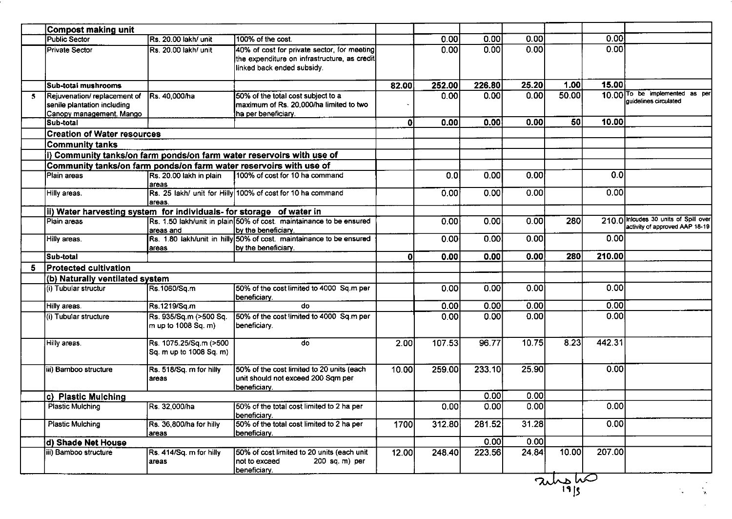|                         | <b>Compost making unit</b>                                                              |                                                   |                                                                                                                           |       |                     |        |        |        |        |                                                                         |
|-------------------------|-----------------------------------------------------------------------------------------|---------------------------------------------------|---------------------------------------------------------------------------------------------------------------------------|-------|---------------------|--------|--------|--------|--------|-------------------------------------------------------------------------|
|                         | <b>Public Sector</b>                                                                    | Rs. 20.00 lakh/ unit                              | 100% of the cost.                                                                                                         |       | 0.00                | 0.00   | 0.00   |        | 0.00   |                                                                         |
|                         | <b>Private Sector</b>                                                                   | Rs. 20.00 lakh/ unit                              | 40% of cost for private sector, for meeting<br>the expenditure on infrastructure, as credit<br>linked back ended subsidy. |       | 0.00                | 0.00   | 0.00   |        | 0.00   |                                                                         |
|                         | Sub-total mushrooms                                                                     |                                                   |                                                                                                                           | 82.00 | 252.00              | 226.80 | 25.20  | 1.00   | 15.00  |                                                                         |
| $\overline{\mathbf{5}}$ | Rejuvenation/ replacement of<br>senile plantation including<br>Canopy management. Mango | Rs. 40,000/ha                                     | 50% of the total cost subject to a<br>maximum of Rs. 20,000/ha limited to two<br>ha per beneficiary.                      |       | 0.00                | 0.00   | 0.00   | 50.00  |        | 10.00 To be implemented as per<br>quidelines circulated                 |
|                         | Sub-total                                                                               |                                                   |                                                                                                                           | ۵l    | 0.00                | 0.00   | 0.00   | 50     | 10.00  |                                                                         |
|                         | <b>Creation of Water resources</b>                                                      |                                                   |                                                                                                                           |       |                     |        |        |        |        |                                                                         |
|                         | <b>Community tanks</b>                                                                  |                                                   |                                                                                                                           |       |                     |        |        |        |        |                                                                         |
|                         |                                                                                         |                                                   | i) Community tanks/on farm ponds/on farm water reservoirs with use of                                                     |       |                     |        |        |        |        |                                                                         |
|                         | Community tanks/on farm ponds/on farm water reservoirs with use of                      |                                                   |                                                                                                                           |       |                     |        |        |        |        |                                                                         |
|                         | Plain areas                                                                             | Rs. 20.00 lakh in plain<br>areas                  | 100% of cost for 10 ha command                                                                                            |       | 0.0                 | 0.00   | 0.00   |        | 0.0    |                                                                         |
|                         | Hilly areas.                                                                            | areas.                                            | Rs. 25 lakh/ unit for Hilly 100% of cost for 10 ha command                                                                |       | 0.00                | 0.00   | 0.00   |        | 0.00   |                                                                         |
|                         | ii) Water harvesting system for individuals- for storage of water in                    |                                                   |                                                                                                                           |       |                     |        |        |        |        |                                                                         |
|                         | Plain areas                                                                             | areas and                                         | Rs. 1.50 lakh/unit in plain 50% of cost maintainance to be ensured<br>by the beneficiary.                                 |       | 0.00                | 0.00   | 0.00   | 280    |        | 210.0 Inicudes 30 units of Spill over<br>activity of approved AAP 18-19 |
|                         | Hilly areas.                                                                            | areas                                             | Rs. 1.80 lakh/unit in hilly 50% of cost. maintainance to be ensured<br>by the beneficiary.                                |       | 0.00                | 0.00   | 0.00   |        | 0.00   |                                                                         |
|                         | Sub-total                                                                               |                                                   |                                                                                                                           | ٥l    | 0.00                | 0.00   | 0.00   | 280    | 210.00 |                                                                         |
| 5                       | <b>Protected cultivation</b>                                                            |                                                   |                                                                                                                           |       |                     |        |        |        |        |                                                                         |
|                         | (b) Naturally ventilated system                                                         |                                                   |                                                                                                                           |       |                     |        |        |        |        |                                                                         |
|                         | (i) Tubular structur                                                                    | Rs.1060/Sq.m                                      | 50% of the cost limited to 4000 Sq.m per<br>beneficiary.                                                                  |       | 0.00                | 0.00   | 0.00   |        | 0.00   |                                                                         |
|                         | Hilly areas.                                                                            | Rs.1219/Sq.m                                      | do                                                                                                                        |       | 0.00                | 0.00   | [0.00] |        | 0.00   |                                                                         |
|                         | (i) Tubular structure                                                                   | Rs. 935/Sq.m (>500 Sq.<br>m up to 1008 Sq. m)     | 50% of the cost limited to 4000 Sq.m per<br>beneficiary.                                                                  |       | 0.00                | 0.00   | 0.00   |        | 0.00   |                                                                         |
|                         | Hilly areas.                                                                            | Rs. 1075.25/Sq.m (>500<br>Sq. m up to 1008 Sq. m) | do                                                                                                                        | 2.00  | $\overline{107.53}$ | 96.77  | 10.75  | 8.23   | 442.31 |                                                                         |
|                         | iii) Bamboo structure                                                                   | Rs. 518/Sq. m for hilly<br>areas                  | 50% of the cost limited to 20 units (each<br>unit should not exceed 200 Sqm per<br>Ibeneficiary.                          | 10.00 | 259.00              | 233.10 | 25.90  |        | 0.00   |                                                                         |
|                         | c) Plastic Mulching                                                                     |                                                   |                                                                                                                           |       |                     | 0.00   | 0.00   |        |        |                                                                         |
|                         | <b>Plastic Mulching</b>                                                                 | Rs. 32,000/ha                                     | 50% of the total cost limited to 2 ha per<br>beneficiary.                                                                 |       | 0.00                | 0.00   | 0.00   |        | 0.00   |                                                                         |
|                         | <b>Plastic Mulching</b>                                                                 | Rs. 36,800/ha for hilly<br>areas                  | 50% of the total cost limited to 2 ha per<br>beneficiary.                                                                 | 1700  | 312.80              | 281.52 | 31.28  |        | 0.00   |                                                                         |
|                         | d) Shade Net House                                                                      |                                                   |                                                                                                                           |       |                     | 0.00   | 0.00   |        |        |                                                                         |
|                         | iii) Bamboo structure                                                                   | Rs. 414/Sq. m for hilly<br>areas                  | 50% of cost limited to 20 units (each unit<br>Inot to exceed<br>200 sq. m) per<br>beneficiary.                            | 12.00 | 248.40              | 223.56 | 24.84  | 10.00  | 207.00 |                                                                         |
|                         |                                                                                         |                                                   |                                                                                                                           |       |                     |        |        | $\sim$ |        |                                                                         |

 $\frac{2\lambda\lambda_{\rm B}}{2|B|}$ 

 $\mathcal{N}_{\mathbf{q}}$  .

 $\mathbf{r}_{\mathrm{a}}$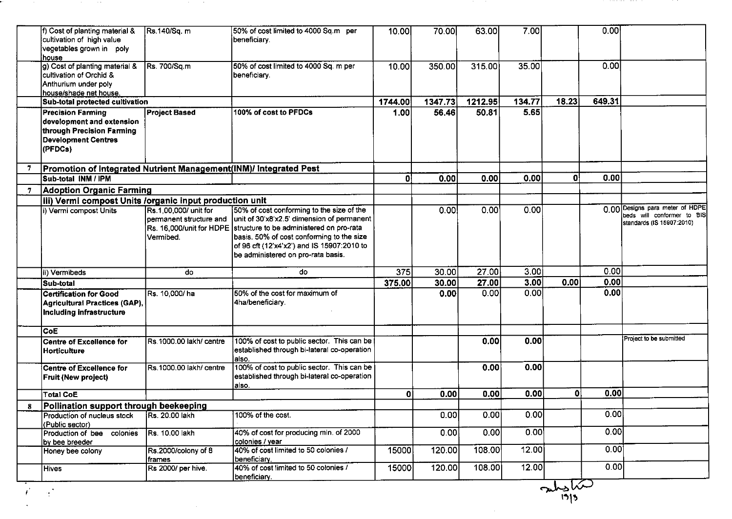|    | f) Cost of planting material &<br>cultivation of high value<br>vegetables grown in poly<br>house                            | Rs.140/Sq. m                                                  | 50% of cost limited to 4000 Sq.m per<br>beneficiary.                                                                                                                                                                                                                                          | 10.00        | 70.00   | 63.00   | 7.00   |              | 0.00   |                                                                                            |
|----|-----------------------------------------------------------------------------------------------------------------------------|---------------------------------------------------------------|-----------------------------------------------------------------------------------------------------------------------------------------------------------------------------------------------------------------------------------------------------------------------------------------------|--------------|---------|---------|--------|--------------|--------|--------------------------------------------------------------------------------------------|
|    | g) Cost of planting material &<br>cultivation of Orchid &<br>Anthurium under poly<br>house/shade net house.                 | Rs. 700/Sq.m                                                  | 50% of cost limited to 4000 Sq. m per<br>beneficiary.                                                                                                                                                                                                                                         | 10.00        | 350.00  | 315.00  | 35.00  |              | 0.00   |                                                                                            |
|    | Sub-total protected cultivation                                                                                             |                                                               |                                                                                                                                                                                                                                                                                               | 1744.00      | 1347.73 | 1212.95 | 134.77 | 18.23        | 649.31 |                                                                                            |
|    | <b>Precision Farming</b><br>development and extension<br>through Precision Farming<br><b>Development Centres</b><br>(PFDCs) | <b>Project Based</b>                                          | 100% of cost to PFDCs                                                                                                                                                                                                                                                                         | 1.00         | 56.46   | 50.81   | 5.65   |              |        |                                                                                            |
| -7 | Promotion of Integrated Nutrient Management(INM)/ Integrated Pest                                                           |                                                               |                                                                                                                                                                                                                                                                                               |              |         |         |        |              |        |                                                                                            |
|    | Sub-total INM / IPM                                                                                                         |                                                               |                                                                                                                                                                                                                                                                                               | $\mathbf{0}$ | 0.00    | 0.00    | 0.00   | $\mathbf{0}$ | 0.00   |                                                                                            |
|    | <b>Adoption Organic Farming</b>                                                                                             |                                                               |                                                                                                                                                                                                                                                                                               |              |         |         |        |              |        |                                                                                            |
|    | iii) Vermi compost Units /organic input production unit                                                                     |                                                               |                                                                                                                                                                                                                                                                                               |              |         |         |        |              |        |                                                                                            |
|    | i) Vermi compost Units                                                                                                      | Rs 1,00,000/ unit for<br>permanent structure and<br>Vermibed. | 50% of cost conforming to the size of the<br>unit of 30'x8'x2.5' dimension of permanent<br>Rs. 16,000/unit for HDPE structure to be administered on pro-rata<br>basis. 50% of cost conforming to the size<br>of 96 cft (12'x4'x2') and IS 15907:2010 to<br>be administered on pro-rata basis. |              | 0.00    | 0.00    | 0.00   |              |        | 0.00 Designs para meter of HDPE<br>beds will conformer to BIS<br>standards (IS 15907:2010) |
|    | ii) Vermibeds                                                                                                               | do                                                            | do                                                                                                                                                                                                                                                                                            | 375          | 30.00   | 27.00   | 3.00   |              | 0.00   |                                                                                            |
|    | Sub-total                                                                                                                   |                                                               |                                                                                                                                                                                                                                                                                               | 375.00       | 30.00   | 27.00   | 3.00   | 0.00         | 0.00   |                                                                                            |
|    | Certification for Good<br>Agricultural Practices (GAP),<br>Including infrastructure                                         | Rs. 10,000/ha                                                 | 50% of the cost for maximum of<br>4ha/beneficiary.                                                                                                                                                                                                                                            |              | 0.00    | 0.00    | 0.00   |              | 0.00   |                                                                                            |
|    | lCoE                                                                                                                        |                                                               |                                                                                                                                                                                                                                                                                               |              |         |         |        |              |        |                                                                                            |
|    | Centre of Excellence for<br>Horticulture                                                                                    | Rs 1000.00 lakh/ centre                                       | 100% of cost to public sector. This can be<br>established through bi-lateral co-operation<br>lalso.                                                                                                                                                                                           |              |         | 0.00    | 0.00   |              |        | Project to be submitted                                                                    |
|    | Centre of Excellence for<br><b>Fruit (New project)</b>                                                                      | Rs.1000.00 lakh/ centre                                       | 100% of cost to public sector. This can be<br>established through bi-lateral co-operation<br>laiso.                                                                                                                                                                                           |              |         | 0.00    | 0.00   |              |        |                                                                                            |
|    | <b>Total CoE</b>                                                                                                            |                                                               |                                                                                                                                                                                                                                                                                               | $\mathbf{0}$ | 0.00    | 0.00    | 0.00   | $\mathbf{0}$ | 0.00   |                                                                                            |
| 8  | Pollination support through beekeeping                                                                                      |                                                               |                                                                                                                                                                                                                                                                                               |              |         |         |        |              |        |                                                                                            |
|    | Production of nucleus stock<br>(Public sector)                                                                              | Rs. 20.00 lakh                                                | 100% of the cost.                                                                                                                                                                                                                                                                             |              | 0.00    | 0.00    | 0.00   |              | 0.00   |                                                                                            |
|    | Production of bee colonies<br>lby bee breeder                                                                               | Rs. 10.00 lakh                                                | 40% of cost for producing min. of 2000<br>colonies / year                                                                                                                                                                                                                                     |              | 0.00    | 0.00    | 0.00   |              | 0.00   |                                                                                            |
|    | Honey bee colony                                                                                                            | Rs.2000/colony of 8<br> frames                                | 40% of cost limited to 50 colonies /<br>beneficiary.                                                                                                                                                                                                                                          | 15000        | 120.00  | 108.00  | 12.00  |              | 0.00   |                                                                                            |
|    | Hives                                                                                                                       | Rs 2000/ per hive.                                            | 40% of cost limited to 50 colonies /<br>beneficiary.                                                                                                                                                                                                                                          | 15000        | 120.00  | 108.00  | 12.00  |              | 0.00   |                                                                                            |

 $\frac{1}{\sqrt{2}}$ 

a construction of the construction

 $\mathcal{L} \in \mathbb{R}^{n}$ 

 $\mathcal{L}^{\text{max}}_{\text{max}}$ 

۳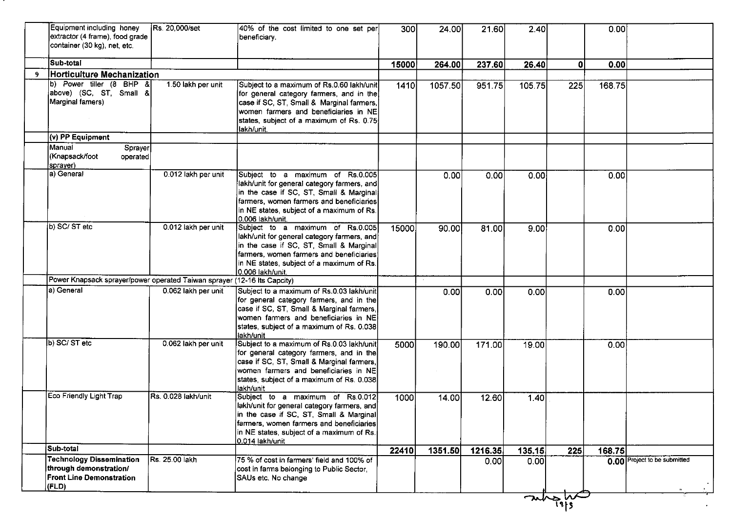|    | Equipment including honey<br>extractor (4 frame), food grade<br>container (30 kg), net, etc.          | Rs. 20,000/set      | 40% of the cost limited to one set per<br>beneficiary.                                                                                                                                                                                  | 300   | 24.00   | 21.60   | 2.40   |      | 0.00   |                              |
|----|-------------------------------------------------------------------------------------------------------|---------------------|-----------------------------------------------------------------------------------------------------------------------------------------------------------------------------------------------------------------------------------------|-------|---------|---------|--------|------|--------|------------------------------|
|    | Sub-total                                                                                             |                     |                                                                                                                                                                                                                                         | 15000 | 264.00  | 237.60  | 26.40  | 0    | 0.00   |                              |
| -9 | Horticulture Mechanization                                                                            |                     |                                                                                                                                                                                                                                         |       |         |         |        |      |        |                              |
|    | b) Power tiller (8 BHP &<br>above) (SC, ST, Small &<br>Marginal famers)                               | 1.50 lakh per unit  | Subject to a maximum of Rs.0.60 lakh/unit<br>for general category farmers, and in the<br>case if SC, ST, Small & Marginal farmers,<br>women farmers and beneficiaries in NE<br>states, subject of a maximum of Rs. 0.75<br>lakh/unit.   | 1410  | 1057.50 | 951.75  | 105.75 | 225  | 168.75 |                              |
|    | (v) PP Equipment                                                                                      |                     |                                                                                                                                                                                                                                         |       |         |         |        |      |        |                              |
|    | Manual<br>Sprayer<br>(Knapsack/foot<br>operated<br>sprayer)                                           |                     |                                                                                                                                                                                                                                         |       |         |         |        |      |        |                              |
|    | a) General                                                                                            | 0.012 lakh per unit | Subject to a maximum of Rs.0.005<br>lakh/unit for general category farmers, and<br>in the case if SC, ST, Small & Marginal<br>farmers, women farmers and beneficiaries<br>in NE states, subject of a maximum of Rs.<br>0.006 lakh/unit. |       | 0.00    | 0.00    | 0.00   |      | 0.00   |                              |
|    | b) SC/ ST etc                                                                                         | 0.012 lakh per unit | Subject to a maximum of Rs.0.005<br>lakh/unit for general category farmers, and<br>in the case if SC, ST, Small & Marginal<br>farmers, women farmers and beneficiaries<br>in NE states, subject of a maximum of Rs.<br>0.006 lakh/unit. | 15000 | 90.00   | 81.00   | 9.00   |      | 0.00   |                              |
|    | Power Knapsack sprayer/power operated Taiwan sprayer (12-16 Its Capcity)                              |                     |                                                                                                                                                                                                                                         |       |         |         |        |      |        |                              |
|    | a) General                                                                                            | 0.062 lakh per unit | Subject to a maximum of Rs.0.03 lakh/unit<br>for general category farmers, and in the<br>case if SC, ST, Small & Marginal farmers,<br>women farmers and beneficiaries in NE<br>states, subject of a maximum of Rs. 0.038<br>lakh/unit   |       | 0.00    | 0.00    | 0.00   |      | 0.00   |                              |
|    | b) SC/ ST etc                                                                                         | 0.062 lakh per unit | Subject to a maximum of Rs.0.03 lakh/unit<br>for general category farmers, and in the<br>case if SC, ST, Small & Marginal farmers,<br>women farmers and beneficiaries in NE<br>states, subject of a maximum of Rs. 0.038<br>llakh/unit  | 5000  | 190.00  | 171.00  | 19.00  |      | 0.00   |                              |
|    | Eco Friendly Light Trap                                                                               | Rs. 0.028 lakh/unit | Subject to a maximum of Rs.0.012<br>lakh/unit for general category farmers, and<br>in the case if SC, ST, Small & Marginal<br>farmers, women farmers and beneficiaries<br>in NE states, subject of a maximum of Rs.<br>0.014 lakh/unit  | 1000  | 14.00   | 12.60   | 1.40   |      |        |                              |
|    | Sub-total                                                                                             |                     |                                                                                                                                                                                                                                         | 22410 | 1351.50 | 1216.35 | 135.15 | 225  | 168.75 |                              |
|    | <b>Technology Dissemination</b><br>through demonstration/<br><b>Front Line Demonstration</b><br>(FLD) | Rs. 25.00 lakh      | 75 % of cost in farmers' field and 100% of<br>cost in farms belonging to Public Sector,<br>SAUs etc. No change                                                                                                                          |       |         | 0.00    | 0.00   |      |        | 0.00 Project to be submitted |
|    |                                                                                                       |                     |                                                                                                                                                                                                                                         |       |         |         |        | ways |        |                              |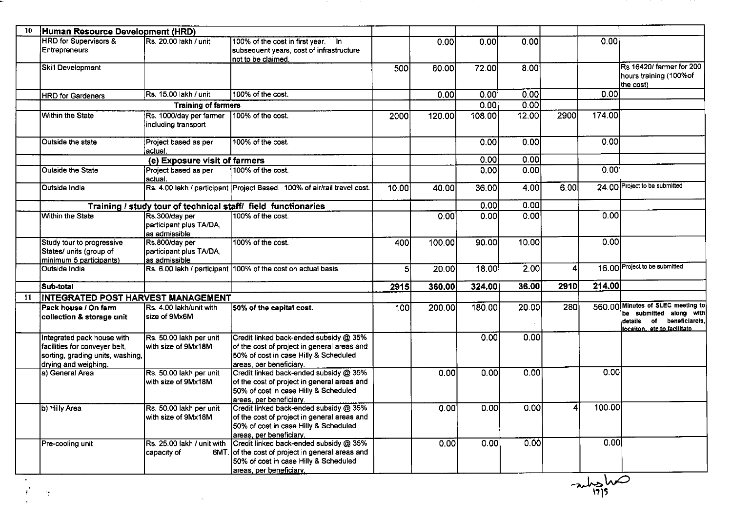| 10  | Human Resource Development (HRD)                                                                                        |                                                            |                                                                                                                                                                |                |        |        |       |      |        |                                                                                                                      |
|-----|-------------------------------------------------------------------------------------------------------------------------|------------------------------------------------------------|----------------------------------------------------------------------------------------------------------------------------------------------------------------|----------------|--------|--------|-------|------|--------|----------------------------------------------------------------------------------------------------------------------|
|     | <b>HRD</b> for Supervisors &<br><b>Entrepreneurs</b>                                                                    | Rs. 20.00 lakh / unit                                      | 100% of the cost in first year. In<br>subsequent years, cost of infrastructure<br>not to be claimed.                                                           |                | 0.00   | 0.00   | 0.00  |      | 0.00   |                                                                                                                      |
|     | Skill Development                                                                                                       |                                                            |                                                                                                                                                                | 500            | 80.00  | 72.00  | 8.00  |      |        | Rs 16420/ farmer for 200<br>hours training (100% of<br>the cost)                                                     |
|     | <b>HRD</b> for Gardeners                                                                                                | Rs. 15.00 lakh / unit                                      | 100% of the cost.                                                                                                                                              |                | 0.00   | 0.00   | 0.00  |      | 0.00   |                                                                                                                      |
|     |                                                                                                                         | <b>Training of farmers</b>                                 |                                                                                                                                                                |                |        | 0.00   | 0.00  |      |        |                                                                                                                      |
|     | <b>Within the State</b>                                                                                                 | Rs. 1000/day per farmer<br>including transport             | 100% of the cost.                                                                                                                                              | 2000           | 120.00 | 108.00 | 12.00 | 2900 | 174.00 |                                                                                                                      |
|     | Outside the state                                                                                                       | Project based as per<br>actual.                            | 100% of the cost.                                                                                                                                              |                |        | 0.00   | 0.001 |      | 0.00   |                                                                                                                      |
|     |                                                                                                                         | (e) Exposure visit of farmers                              |                                                                                                                                                                |                |        | 0.00   | 0.00  |      |        |                                                                                                                      |
|     | <b>Outside the State</b>                                                                                                | Project based as per<br>actual.                            | 100% of the cost.                                                                                                                                              |                |        | 0.00   | 0.00  |      | 0.00   |                                                                                                                      |
|     | <b>Outside India</b>                                                                                                    |                                                            | Rs. 4.00 lakh / participant Project Based. 100% of air/rail travel cost.                                                                                       | 10.00          | 40.00  | 36.00  | 4.00  | 6.00 |        | 24.00 Project to be submitted                                                                                        |
|     |                                                                                                                         |                                                            | Training / study tour of technical staff/ field functionaries                                                                                                  |                |        | 0.00   | 0.00  |      |        |                                                                                                                      |
|     | Within the State                                                                                                        | Rs.300/day per<br>participant plus TA/DA,<br>as admissible | 100% of the cost.                                                                                                                                              |                | 0.00   | 0.00   | 0.00  |      | 0.00   |                                                                                                                      |
|     | Study tour to progressive<br>States/ units (group of<br>minimum 5 participants)                                         | Rs.800/day per<br>participant plus TA/DA,<br>as admissible | 100% of the cost.                                                                                                                                              | 400            | 100.00 | 90.00  | 10.00 |      | 0.00   |                                                                                                                      |
|     | Outside India                                                                                                           |                                                            | Rs. 6.00 lakh / participant 100% of the cost on actual basis.                                                                                                  | $\overline{5}$ | 20.00  | 18.00  | 2.00  | 4    |        | 16.00 Project to be submitted                                                                                        |
|     | Sub-total                                                                                                               |                                                            |                                                                                                                                                                | 2915           | 360.00 | 324.00 | 36.00 | 2910 | 214.00 |                                                                                                                      |
| -11 | INTEGRATED POST HARVEST MANAGEMENT                                                                                      |                                                            |                                                                                                                                                                |                |        |        |       |      |        |                                                                                                                      |
|     | Pack house / On farm<br>collection & storage unit                                                                       | Rs. 4.00 lakh/unit with<br>size of 9Mx6M                   | 50% of the capital cost.                                                                                                                                       | 100            | 200.00 | 180.00 | 20.00 | 280  | 560.00 | Minutes of SLEC meeting to<br>be submitted along with<br>of beneficiarels.<br>details<br>locaiton. etc to facilitate |
|     | Integrated pack house with<br>facilities for conveyer belt,<br>sorting, grading units, washing,<br>drying and weighing. | Rs. 50.00 lakh per unit<br>with size of 9Mx18M             | Credit linked back-ended subsidy @ 35%<br>of the cost of project in general areas and<br>50% of cost in case Hilly & Scheduled<br>areas per beneficiary.       |                |        | 0.00   | 0.00  |      |        |                                                                                                                      |
|     | a) General Area                                                                                                         | Rs. 50.00 lakh per unit<br>with size of 9Mx18M             | Credit linked back-ended subsidy @ 35%<br>of the cost of project in general areas and<br>50% of cost in case Hilly & Scheduled<br>areas, per beneficiary.      |                | 0.00   | 0.00   | 0.00  |      | 0.00   |                                                                                                                      |
|     | b) Hilly Area                                                                                                           | Rs. 50.00 lakh per unit<br>with size of 9Mx18M             | Credit linked back-ended subsidy @ 35%<br>of the cost of project in general areas and<br>50% of cost in case Hilly & Scheduled<br>areas, per beneficiary.      |                | 0.00   | 0.00   | 0.00  | 4    | 100.00 |                                                                                                                      |
|     | Pre-cooling unit                                                                                                        | Rs. 25.00 lakh / unit with<br>capacity of                  | Credit linked back-ended subsidy @ 35%<br>6MT. of the cost of project in general areas and<br>50% of cost in case Hilly & Scheduled<br>areas, per beneficiary. |                | 0.00   | 0.00   | 0.00  |      | 0.00   |                                                                                                                      |

**Contract** 

and the state

 $\frac{1}{\sqrt{\frac{1}{19}}}$ 

I

 $\label{eq:R1} \mathcal{S} = \frac{1}{2} \sum_{i=1}^n \frac{1}{2} \sum_{j=1}^n \frac{1}{2} \sum_{j=1}^n \frac{1}{2} \sum_{j=1}^n \frac{1}{2} \sum_{j=1}^n \frac{1}{2} \sum_{j=1}^n \frac{1}{2} \sum_{j=1}^n \frac{1}{2} \sum_{j=1}^n \frac{1}{2} \sum_{j=1}^n \frac{1}{2} \sum_{j=1}^n \frac{1}{2} \sum_{j=1}^n \frac{1}{2} \sum_{j=1}^n \frac{1}{2} \sum_{j=1$ 

u,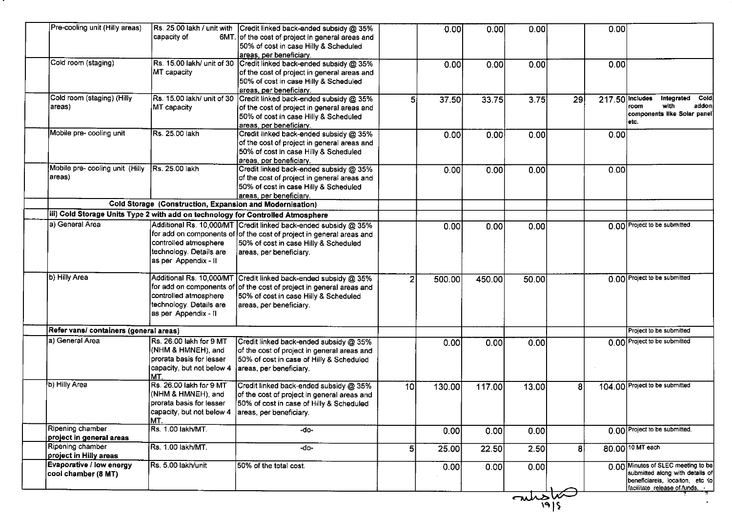| Pre-cooling unit (Hilly areas)                                                  | Rs. 25.00 lakh / unit with<br>capacity of<br>6MT.                                                             | Credit linked back-ended subsidy @ 35%<br>of the cost of project in general areas and<br>50% of cost in case Hilly & Scheduled<br>areas, per beneficiary.                                                   |                 | 0.00   | 0.00   | 0.00           | 0.00                  |                                                                                                                                          |
|---------------------------------------------------------------------------------|---------------------------------------------------------------------------------------------------------------|-------------------------------------------------------------------------------------------------------------------------------------------------------------------------------------------------------------|-----------------|--------|--------|----------------|-----------------------|------------------------------------------------------------------------------------------------------------------------------------------|
| Cold room (staging)                                                             | Rs. 15.00 lakh/ unit of 30<br>MT capacity                                                                     | Credit linked back-ended subsidy @ 35%<br>of the cost of project in general areas and<br>50% of cost in case Hilly & Scheduled<br>areas, per beneficiary.                                                   |                 | 0.00   | 0.00   | 0.00           | 0.00                  |                                                                                                                                          |
| Cold room (staging) (Hilly<br>areas)                                            | Rs. 15.00 lakh/ unit of 30<br>MT capacity                                                                     | Credit linked back-ended subsidy @ 35%<br>of the cost of project in general areas and<br>50% of cost in case Hilly & Scheduled<br>areas, per beneficiary.                                                   | 5 <sub>1</sub>  | 37.50  | 33.75  | 3.75           | 217.50 Includes<br>29 | Coldi<br>Integrated<br>with<br>addoni<br>room<br>components like Solar panel<br>etc.                                                     |
| Mobile pre-cooling unit                                                         | Rs. 25.00 lakh                                                                                                | Credit linked back-ended subsidy @ 35%<br>of the cost of project in general areas and<br>50% of cost in case Hilly & Scheduled<br>areas, per beneficiary.                                                   |                 | 0.00   | 0.00   | 0.00           | 0.00                  |                                                                                                                                          |
| Mobile pre- cooling unit (Hilly<br>areas)                                       | Rs. 25.00 lakh                                                                                                | Credit linked back-ended subsidy @ 35%<br>of the cost of project in general areas and<br>50% of cost in case Hilly & Scheduled<br>areas, per beneficiary.                                                   |                 | 0.00   | 0.00   | 0.00           | 0.00                  |                                                                                                                                          |
|                                                                                 | <b>Cold Storage (Construction, Expansion and Modernisation)</b>                                               |                                                                                                                                                                                                             |                 |        |        |                |                       |                                                                                                                                          |
| iii) Cold Storage Units Type 2 with add on technology for Controlled Atmosphere |                                                                                                               |                                                                                                                                                                                                             |                 |        |        |                |                       |                                                                                                                                          |
| a) General Area                                                                 | controlled atmosphere<br>technology. Details are<br>as per Appendix - II                                      | Additional Rs. 10,000/MT Credit linked back-ended subsidy @ 35%<br>for add on components of of the cost of project in general areas and<br>50% of cost in case Hilly & Scheduled<br>areas, per beneficiary. |                 | 0.00   | 0.00   | 0.00           |                       | 0.00 Project to be submitted                                                                                                             |
| b) Hilly Area                                                                   | controlled atmosphere<br>technology. Details are<br>as per Appendix - II                                      | Additional Rs. 10,000/MT Credit linked back-ended subsidy @ 35%<br>for add on components of of the cost of project in general areas and<br>50% of cost in case Hilly & Scheduled<br>areas, per beneficiary. | 2               | 500.00 | 450.00 | 50.00          |                       | 0.00 Project to be submitted                                                                                                             |
| Refer vans/ containers (general areas)                                          |                                                                                                               |                                                                                                                                                                                                             |                 |        |        |                |                       | Project to be submitted                                                                                                                  |
| a) General Area                                                                 | Rs. 26.00 lakh for 9 MT<br>(NHM & HMNEH), and<br>prorata basis for lesser<br>capacity, but not below 4<br>MT. | Credit linked back-ended subsidy @ 35%<br>of the cost of project in general areas and<br>50% of cost in case of Hilly & Scheduled<br>areas, per beneficiary.                                                |                 | 0.00   | 0.00   | 0.00           |                       | 0.00 Project to be submitted                                                                                                             |
| b) Hilly Area                                                                   | Rs. 26.00 lakh for 9 MT<br>(NHM & HMNEH), and<br>prorata basis for lesser<br>capacity, but not below 4<br>MT. | Credit linked back-ended subsidy @ 35%<br>of the cost of project in general areas and<br>50% of cost in case of Hilly & Scheduled<br>areas, per beneficiary.                                                | 10 <sup>1</sup> | 130.00 | 117.00 | 13.00          | 8                     | 104.00 Project to be submitted                                                                                                           |
| Ripening chamber<br>project in general areas                                    | Rs. 1.00 lakh/MT.                                                                                             | -do-                                                                                                                                                                                                        |                 | 0.00   | 0.00   | 0.00           |                       | 0.00 Project to be submitted.                                                                                                            |
| Ripening chamber<br>project in Hilly areas                                      | Rs. 1.00 lakh/MT.                                                                                             | -do-                                                                                                                                                                                                        | 5 <sub>l</sub>  | 25.00  | 22.50  | 2.50           | 8                     | 80.00 10 MT each                                                                                                                         |
| Evaporative / low energy<br>cool chamber (8 MT)                                 | Rs. 5.00 lakh/unit                                                                                            | 50% of the total cost.                                                                                                                                                                                      |                 | 0.00   | 0.00   | 0.00           |                       | 0.00 Minutes of SLEC meeting to be<br>submitted along with details of<br>beneficiareis, locaiton, etc to<br>facilitate release of funds. |
|                                                                                 |                                                                                                               |                                                                                                                                                                                                             |                 |        |        | $\sim$<br>1915 |                       |                                                                                                                                          |

.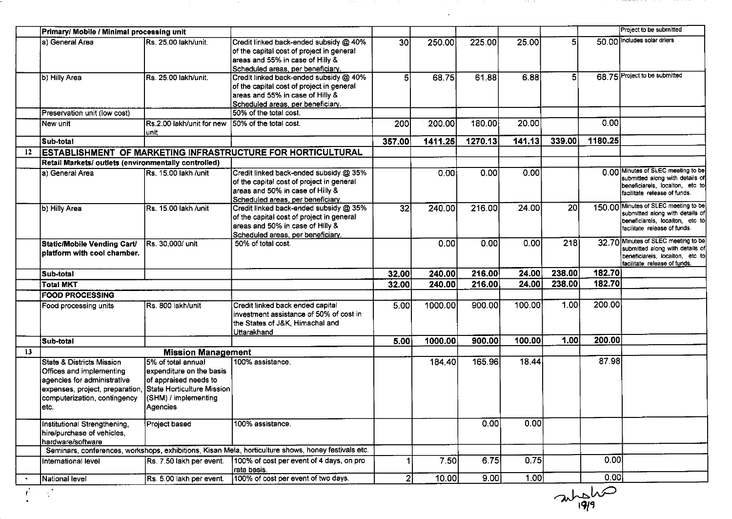|    | Primary/ Mobile / Minimal processing unit                                                                                                                        |                                                                                                                                            |                                                                                                                                                              |                |         |         |        |                 |         | Project to be submitted                                                                                                                    |
|----|------------------------------------------------------------------------------------------------------------------------------------------------------------------|--------------------------------------------------------------------------------------------------------------------------------------------|--------------------------------------------------------------------------------------------------------------------------------------------------------------|----------------|---------|---------|--------|-----------------|---------|--------------------------------------------------------------------------------------------------------------------------------------------|
|    | a) General Area                                                                                                                                                  | Rs. 25.00 lakh/unit.                                                                                                                       | Credit linked back-ended subsidy @ 40%<br>of the capital cost of project in general<br>areas and 55% in case of Hilly &<br>Scheduled areas, per beneficiary. | 30             | 250.00  | 225.00  | 25.00  | 51              |         | 50.00 Includes solar driers                                                                                                                |
|    | b) Hilly Area                                                                                                                                                    | Rs. 25.00 lakh/unit.                                                                                                                       | Credit linked back-ended subsidy @ 40%<br>of the capital cost of project in general<br>areas and 55% in case of Hilly &<br>Scheduled areas, per beneficiary. | $5^{\circ}$    | 68.75   | 61.88   | 6.88   | 5 <sup>1</sup>  |         | 68.75 Project to be submitted                                                                                                              |
|    | Preservation unit (low cost)                                                                                                                                     |                                                                                                                                            | 50% of the total cost.                                                                                                                                       |                |         |         |        |                 |         |                                                                                                                                            |
|    | New unit                                                                                                                                                         | Rs.2.00 lakh/unit for new 50% of the total cost.<br>luniti                                                                                 |                                                                                                                                                              | 200            | 200.00  | 180.00  | 20.00  |                 | 0.00    |                                                                                                                                            |
|    | Sub-total                                                                                                                                                        |                                                                                                                                            |                                                                                                                                                              | 357.00         | 1411.25 | 1270.13 | 141.13 | 339.00          | 1180.25 |                                                                                                                                            |
| 12 |                                                                                                                                                                  |                                                                                                                                            | <b>ESTABLISHMENT OF MARKETING INFRASTRUCTURE FOR HORTICULTURAL</b>                                                                                           |                |         |         |        |                 |         |                                                                                                                                            |
|    | Retail Markets/ outlets (environmentally controlled)                                                                                                             |                                                                                                                                            |                                                                                                                                                              |                |         |         |        |                 |         |                                                                                                                                            |
|    | a) General Area                                                                                                                                                  | Rs. 15.00 lakh /unit                                                                                                                       | Credit linked back-ended subsidy @ 35%<br>of the capital cost of project in general<br>areas and 50% in case of Hilly &<br>Scheduled areas, per beneficiary. |                | 0.00    | 0.00    | 0.00   |                 |         | 0.00 Minutes of SLEC meeting to be<br>submitted along with details of<br>Ibeneficiareis, locaiton, etc tol<br>facilitate release of funds. |
|    | b) Hilly Area                                                                                                                                                    | Rs. 15.00 lakh /unit                                                                                                                       | Credit linked back-ended subsidy @ 35%<br>of the capital cost of project in general<br>areas and 50% in case of Hilly &<br>Scheduled areas, per beneficiary. | 32             | 240.00  | 216.00  | 24.00  | 20 <sub>l</sub> |         | 150.00 Minutes of SLEC meeting to be<br>submitted along with details of<br>beneficiareis, locaiton, etc to<br>facilitate release of funds. |
|    | <b>Static/Mobile Vending Cart/</b><br>platform with cool chamber.                                                                                                | Rs. 30,000/ unit                                                                                                                           | 50% of total cost.                                                                                                                                           |                | 0.00    | 0.00    | 0.001  | 218             |         | 32.70 Minutes of SLEC meeting to be<br>submitted along with details of<br>beneficiareis, locaiton, etc to<br>facilitate release of funds.  |
|    | Sub-total                                                                                                                                                        |                                                                                                                                            |                                                                                                                                                              | 32.00          | 240.00  | 216.00  | 24.00  | 238.00          | 182.70  |                                                                                                                                            |
|    | <b>Total MKT</b>                                                                                                                                                 |                                                                                                                                            |                                                                                                                                                              | 32.00          | 240.00  | 216.00  | 24.00  | 238.00          | 182.70  |                                                                                                                                            |
|    | <b>FOOD PROCESSING</b>                                                                                                                                           |                                                                                                                                            |                                                                                                                                                              |                |         |         |        |                 |         |                                                                                                                                            |
|    | Food processing units                                                                                                                                            | Rs. 800 lakh/unit                                                                                                                          | Credit linked back ended capital<br>investment assistance of 50% of cost in<br>the States of J&K, Himachal and<br>Uttarakhand                                | 5.00           | 1000.00 | 900.00  | 100.00 | 1.00            | 200.00  |                                                                                                                                            |
|    | Sub-total                                                                                                                                                        |                                                                                                                                            |                                                                                                                                                              | 5.00           | 1000.00 | 900.00  | 100.00 | 1.00            | 200.00  |                                                                                                                                            |
| 13 |                                                                                                                                                                  | <b>Mission Management</b>                                                                                                                  |                                                                                                                                                              |                |         |         |        |                 |         |                                                                                                                                            |
|    | State & Districts Mission<br>Offices and implementing<br>agencies for administrative<br>expenses, project, preparation,<br>computerization, contingency<br>letc. | I5% of total annual<br>expenditure on the basis<br>of appraised needs to<br>State Horticulture Mission<br>(SHM) / implementing<br>Agencies | 100% assistance.                                                                                                                                             |                | 184.40  | 165.96  | 18.44  |                 | 87.98   |                                                                                                                                            |
|    | Institutional Strengthening,<br>hire/purchase of vehicles,<br>hardware/software                                                                                  | Project based                                                                                                                              | 100% assistance.                                                                                                                                             |                |         | 0.00    | 0.00   |                 |         |                                                                                                                                            |
|    |                                                                                                                                                                  |                                                                                                                                            | Seminars, conferences, workshops, exhibitions, Kisan Mela, horticulture shows, honey festivals etc.                                                          |                |         |         |        |                 |         |                                                                                                                                            |
|    | International level                                                                                                                                              | Rs. 7.50 lakh per event.                                                                                                                   | 100% of cost per event of 4 days, on pro<br>rata basis.                                                                                                      |                | 7.50    | 6.75    | 0.75   |                 | 0.00    |                                                                                                                                            |
|    | National level                                                                                                                                                   | Rs. 5.00 lakh per event.                                                                                                                   | 100% of cost per event of two days.                                                                                                                          | $\overline{2}$ | 10.00   | 9.00    | 1.00   |                 | 0.00    |                                                                                                                                            |

 $\frac{1}{\frac{1}{\frac{1}{4}}\frac{1}{\frac{1}{4}}\frac{1}{\frac{1}{4}}\frac{1}{\frac{1}{4}}\frac{1}{\frac{1}{4}}\frac{1}{\frac{1}{4}}\frac{1}{\frac{1}{4}}\frac{1}{\frac{1}{4}}\frac{1}{\frac{1}{4}}\frac{1}{\frac{1}{4}}\frac{1}{\frac{1}{4}}\frac{1}{\frac{1}{4}}\frac{1}{\frac{1}{4}}\frac{1}{\frac{1}{4}}\frac{1}{\frac{1}{4}}\frac{1}{\frac{1}{4}}\frac{1}{\frac{1}{4}}\frac{1}{\frac{1}{4$